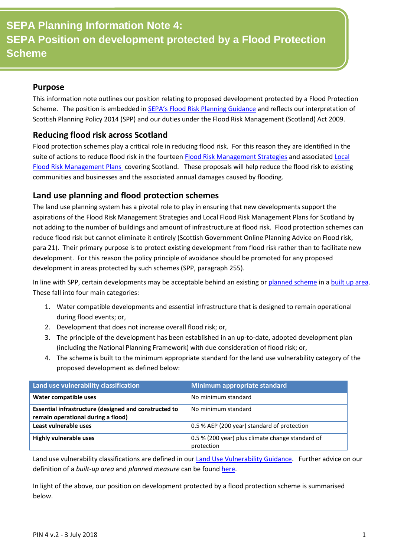#### **Purpose**

This information note outlines our position relating to proposed development protected by a Flood Protection Scheme. The position is embedded in [SEPA's Flood Risk Planning Guidance](https://www.sepa.org.uk/media/162837/lups-bp-gu2a-land-use-planning-background-paper-on-flood-risk.pdf) and reflects our interpretation of Scottish Planning Policy 2014 (SPP) and our duties under the Flood Risk Management (Scotland) Act 2009.

### **Reducing flood risk across Scotland**

Flood protection schemes play a critical role in reducing flood risk. For this reason they are identified in the suite of actions to reduce flood risk in the fourteen [Flood Risk Management Strategies](http://apps.sepa.org.uk/FRMStrategies/) and associated Local [Flood Risk Management Plans](https://www.sepa.org.uk/environment/water/flooding/local-frm-plans/) covering Scotland. These proposals will help reduce the flood risk to existing communities and businesses and the associated annual damages caused by flooding.

### **Land use planning and flood protection schemes**

The land use planning system has a pivotal role to play in ensuring that new developments support the aspirations of the Flood Risk Management Strategies and Local Flood Risk Management Plans for Scotland by not adding to the number of buildings and amount of infrastructure at flood risk. Flood protection schemes can reduce flood risk but cannot eliminate it entirely (Scottish Government Online Planning Advice on Flood risk, para 21). Their primary purpose is to protect existing development from flood risk rather than to facilitate new development. For this reason the policy principle of avoidance should be promoted for any proposed development in areas protected by such schemes (SPP, paragraph 255).

In line with SPP, certain developments may be acceptable behind an existing or [planned scheme](#page-2-0) in a [built up area.](#page-2-0) These fall into four main categories:

- 1. Water compatible developments and essential infrastructure that is designed to remain operational during flood events; or,
- 2. Development that does not increase overall flood risk; or,
- 3. The principle of the development has been established in an up-to-date, adopted development plan (including the National Planning Framework) with due consideration of flood risk; or,
- 4. The scheme is built to the minimum appropriate standard for the land use vulnerability category of the proposed development as defined below:

| Land use vulnerability classification                                                       | Minimum appropriate standard                                   |
|---------------------------------------------------------------------------------------------|----------------------------------------------------------------|
| Water compatible uses                                                                       | No minimum standard                                            |
| Essential infrastructure (designed and constructed to<br>remain operational during a flood) | No minimum standard                                            |
| Least vulnerable uses                                                                       | 0.5 % AEP (200 year) standard of protection                    |
| <b>Highly vulnerable uses</b>                                                               | 0.5 % (200 year) plus climate change standard of<br>protection |

Land use vulnerability classifications are defined in our [Land Use Vulnerability Guidance.](https://www.sepa.org.uk/media/143416/land-use-vulnerability-guidance.pdf) Further advice on our definition of a *built-up area* and *planned measure* can be foun[d here.](#page-2-0)

In light of the above, our position on development protected by a flood protection scheme is summarised below.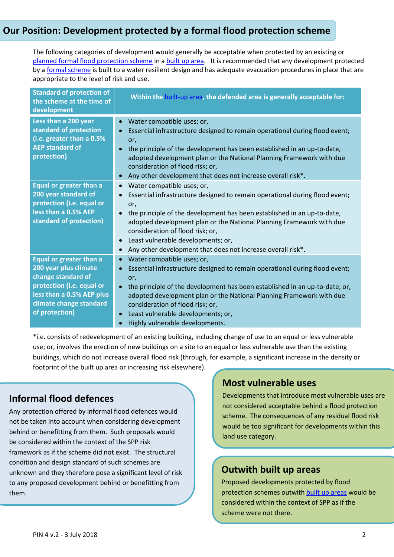## **Our Position: Development protected by a formal flood protection scheme**

The following categories of development would generally be acceptable when protected by an existing or [planned formal flood protection scheme](#page-2-0) in [a built up area.](#page-2-0) It is recommended that any development protected by [a formal scheme](#page-2-0) is built to a water resilient design and has adequate evacuation procedures in place that are appropriate to the level of risk and use.

| <b>Standard of protection of</b><br>the scheme at the time of<br>development                                                                                                         | Within the built-up area, the defended area is generally acceptable for:                                                                                                                                                                                                                                                                                                                                                                                                      |
|--------------------------------------------------------------------------------------------------------------------------------------------------------------------------------------|-------------------------------------------------------------------------------------------------------------------------------------------------------------------------------------------------------------------------------------------------------------------------------------------------------------------------------------------------------------------------------------------------------------------------------------------------------------------------------|
| Less than a 200 year<br>standard of protection<br>(i.e. greater than a 0.5%<br><b>AEP standard of</b><br>protection)                                                                 | Water compatible uses; or,<br>$\bullet$<br>Essential infrastructure designed to remain operational during flood event;<br>$\bullet$<br>or,<br>the principle of the development has been established in an up-to-date,<br>$\bullet$<br>adopted development plan or the National Planning Framework with due<br>consideration of flood risk; or,<br>Any other development that does not increase overall risk*.<br>$\bullet$                                                    |
| <b>Equal or greater than a</b><br>200 year standard of<br>protection (i.e. equal or<br>less than a 0.5% AEP<br>standard of protection)                                               | Water compatible uses; or,<br>$\bullet$<br>Essential infrastructure designed to remain operational during flood event;<br>$\bullet$<br>or,<br>the principle of the development has been established in an up-to-date,<br>$\bullet$<br>adopted development plan or the National Planning Framework with due<br>consideration of flood risk; or,<br>Least vulnerable developments; or,<br>$\bullet$<br>Any other development that does not increase overall risk*.<br>$\bullet$ |
| <b>Equal or greater than a</b><br>200 year plus climate<br>change standard of<br>protection (i.e. equal or<br>less than a 0.5% AEP plus<br>climate change standard<br>of protection) | Water compatible uses; or,<br>$\bullet$<br>Essential infrastructure designed to remain operational during flood event;<br>$\bullet$<br>or,<br>the principle of the development has been established in an up-to-date; or,<br>$\bullet$<br>adopted development plan or the National Planning Framework with due<br>consideration of flood risk; or,<br>Least vulnerable developments; or,<br>$\bullet$<br>Highly vulnerable developments.                                      |

\*i.e. consists of redevelopment of an existing building, including change of use to an equal or less vulnerable use; or, involves the erection of new buildings on a site to an equal or less vulnerable use than the existing buildings, which do not increase overall flood risk (through, for example, a significant increase in the density or footprint of the built up area or increasing risk elsewhere).

# **Informal flood defences**

Any protection offered by informal flood defences would not be taken into account when considering development behind or benefitting from them. Such proposals would be considered within the context of the SPP risk framework as if the scheme did not exist. The structural condition and design standard of such schemes are unknown and they therefore pose a significant level of risk to any proposed development behind or benefitting from them.

## **Most vulnerable uses**

Developments that introduce most vulnerable uses are not considered acceptable behind a flood protection scheme. The consequences of any residual flood risk would be too significant for developments within this land use category.

## **Outwith built up areas**

Proposed developments protected by flood protection schemes outwith [built up areas](#page-2-0) would be considered within the context of SPP as if the scheme were not there.